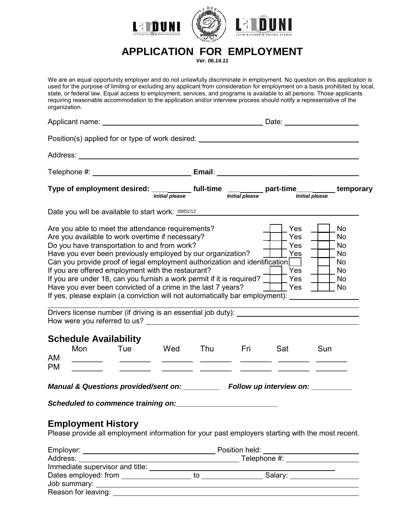

# **APPLICATION FOR EMPLOYMENT**

*Ver. 06.14.11*

We are an equal opportunity employer and do not unlawfully discriminate in employment. No question on this application is used for the purpose of limiting or excluding any applicant from consideration for employment on a basis prohibited by local, state, or federal law. Equal access to employment, services, and programs is available to all persons. Those applicants requiring reasonable accommodation to the application and/or interview process should notify a representative of the organization.

|                        | Position(s) applied for or type of work desired: _______________________________                                                                                                                                                                                                                                                                                                                                                                                                                                                                                                                                    |                                                                                                                                                                                                                                                           |            |            |                                                                   |                                                   |
|------------------------|---------------------------------------------------------------------------------------------------------------------------------------------------------------------------------------------------------------------------------------------------------------------------------------------------------------------------------------------------------------------------------------------------------------------------------------------------------------------------------------------------------------------------------------------------------------------------------------------------------------------|-----------------------------------------------------------------------------------------------------------------------------------------------------------------------------------------------------------------------------------------------------------|------------|------------|-------------------------------------------------------------------|---------------------------------------------------|
|                        |                                                                                                                                                                                                                                                                                                                                                                                                                                                                                                                                                                                                                     |                                                                                                                                                                                                                                                           |            |            |                                                                   |                                                   |
|                        |                                                                                                                                                                                                                                                                                                                                                                                                                                                                                                                                                                                                                     |                                                                                                                                                                                                                                                           |            |            |                                                                   |                                                   |
|                        | Type of employment desired: <i>Initial please</i> full-time <i>Initial please</i> part-time <i>Initial please</i> temporary                                                                                                                                                                                                                                                                                                                                                                                                                                                                                         |                                                                                                                                                                                                                                                           |            |            |                                                                   |                                                   |
|                        | Date you will be available to start work: 09/01/12                                                                                                                                                                                                                                                                                                                                                                                                                                                                                                                                                                  |                                                                                                                                                                                                                                                           |            |            |                                                                   |                                                   |
|                        | Are you able to meet the attendance requirements?<br>Are you available to work overtime if necessary?<br>Do you have transportation to and from work?<br>Have you ever been previously employed by our organization?<br>Can you provide proof of legal employment authorization and identification<br>If you are offered employment with the restaurant?<br>If you are under 18, can you furnish a work permit if it is required? $\Box$ Yes<br>Have you ever been convicted of a crime in the last 7 years?<br>If yes, please explain (a conviction will not automatically bar employment): ______________________ |                                                                                                                                                                                                                                                           |            |            | Yes<br>Yes<br>Yes<br>  Yes<br>Yes<br>$\overline{\phantom{a}}$ Yes | No<br>No<br>No<br>No<br>No.<br>  No<br>No<br>  No |
|                        |                                                                                                                                                                                                                                                                                                                                                                                                                                                                                                                                                                                                                     |                                                                                                                                                                                                                                                           |            |            |                                                                   |                                                   |
| Mon<br>AM<br><b>PM</b> | <b>Schedule Availability</b><br>Tue                                                                                                                                                                                                                                                                                                                                                                                                                                                                                                                                                                                 | <b>Example 19</b><br><u> Alexandro de Alexandro de Alexandro de Alexandro de Alexandro de Alexandro de Alexandro de Alexandro de Alexandro de Alexandro de Alexandro de Alexandro de Alexandro de Alexandro de Alexandro de Alexandro de Alexandro de</u> | <b>Thu</b> | <b>Eri</b> | Sat                                                               | Sun                                               |
|                        | Manual & Questions provided/sent on: _________ Follow up interview on: _________                                                                                                                                                                                                                                                                                                                                                                                                                                                                                                                                    |                                                                                                                                                                                                                                                           |            |            |                                                                   |                                                   |
|                        |                                                                                                                                                                                                                                                                                                                                                                                                                                                                                                                                                                                                                     |                                                                                                                                                                                                                                                           |            |            |                                                                   |                                                   |
|                        | <b>Employment History</b><br>Please provide all employment information for your past employers starting with the most recent.                                                                                                                                                                                                                                                                                                                                                                                                                                                                                       |                                                                                                                                                                                                                                                           |            |            |                                                                   |                                                   |
|                        |                                                                                                                                                                                                                                                                                                                                                                                                                                                                                                                                                                                                                     |                                                                                                                                                                                                                                                           |            |            |                                                                   |                                                   |
|                        |                                                                                                                                                                                                                                                                                                                                                                                                                                                                                                                                                                                                                     |                                                                                                                                                                                                                                                           |            |            |                                                                   |                                                   |
|                        |                                                                                                                                                                                                                                                                                                                                                                                                                                                                                                                                                                                                                     |                                                                                                                                                                                                                                                           |            |            |                                                                   |                                                   |

Dates employed: from to Salary: Job summary: Reason for leaving: